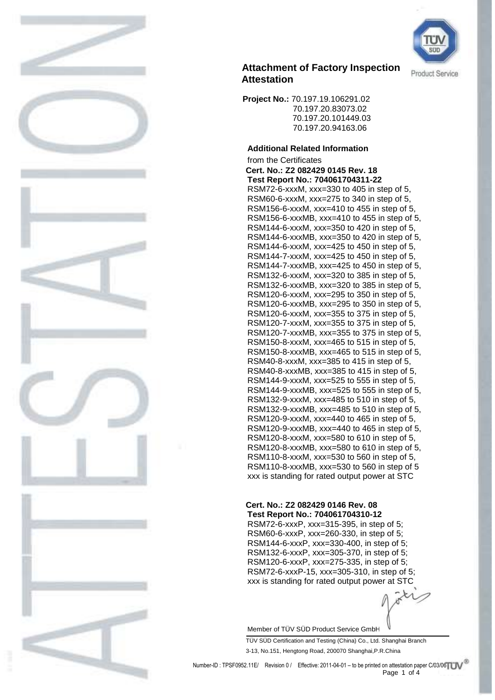

 **Project No.:** 70.197.19.106291.02 70.197.20.83073.02 70.197.20.101449.03 70.197.20.94163.06

### **Additional Related Information**

from the Certificates **Cert. No.: Z2 082429 0145 Rev. 18 Test Report No.: 704061704311-22** RSM72-6-xxxM, xxx=330 to 405 in step of 5, RSM60-6-xxxM, xxx=275 to 340 in step of 5, RSM156-6-xxxM, xxx=410 to 455 in step of 5, RSM156-6-xxxMB, xxx=410 to 455 in step of 5, RSM144-6-xxxM, xxx=350 to 420 in step of 5, RSM144-6-xxxMB, xxx=350 to 420 in step of 5, RSM144-6-xxxM, xxx=425 to 450 in step of 5, RSM144-7-xxxM, xxx=425 to 450 in step of 5, RSM144-7-xxxMB, xxx=425 to 450 in step of 5, RSM132-6-xxxM, xxx=320 to 385 in step of 5, RSM132-6-xxxMB, xxx=320 to 385 in step of 5, RSM120-6-xxxM, xxx=295 to 350 in step of 5, RSM120-6-xxxMB, xxx=295 to 350 in step of 5, RSM120-6-xxxM, xxx=355 to 375 in step of 5, RSM120-7-xxxM, xxx=355 to 375 in step of 5, RSM120-7-xxxMB, xxx=355 to 375 in step of 5, RSM150-8-xxxM, xxx=465 to 515 in step of 5, RSM150-8-xxxMB, xxx=465 to 515 in step of 5, RSM40-8-xxxM, xxx=385 to 415 in step of 5, RSM40-8-xxxMB, xxx=385 to 415 in step of 5, RSM144-9-xxxM, xxx=525 to 555 in step of 5, RSM144-9-xxxMB, xxx=525 to 555 in step of 5, RSM132-9-xxxM, xxx=485 to 510 in step of 5, RSM132-9-xxxMB, xxx=485 to 510 in step of 5, RSM120-9-xxxM, xxx=440 to 465 in step of 5, RSM120-9-xxxMB, xxx=440 to 465 in step of 5, RSM120-8-xxxM, xxx=580 to 610 in step of 5, RSM120-8-xxxMB, xxx=580 to 610 in step of 5, RSM110-8-xxxM, xxx=530 to 560 in step of 5, RSM110-8-xxxMB, xxx=530 to 560 in step of 5 xxx is standing for rated output power at STC

#### **Cert. No.: Z2 082429 0146 Rev. 08 Test Report No.: 704061704310-12**

RSM72-6-xxxP, xxx=315-395, in step of 5; RSM60-6-xxxP, xxx=260-330, in step of 5; RSM144-6-xxxP, xxx=330-400, in step of 5; RSM132-6-xxxP, xxx=305-370, in step of 5; RSM120-6-xxxP, xxx=275-335, in step of 5; RSM72-6-xxxP-15, xxx=305-310, in step of 5; xxx is standing for rated output power at STC

Member of TÜV SÜD Product Service GmbH

TÜV SÜD Certification and Testing (China) Co., Ltd. Shanghai Branch 3-13, No.151, Hengtong Road, 200070 Shanghai,P.R.China

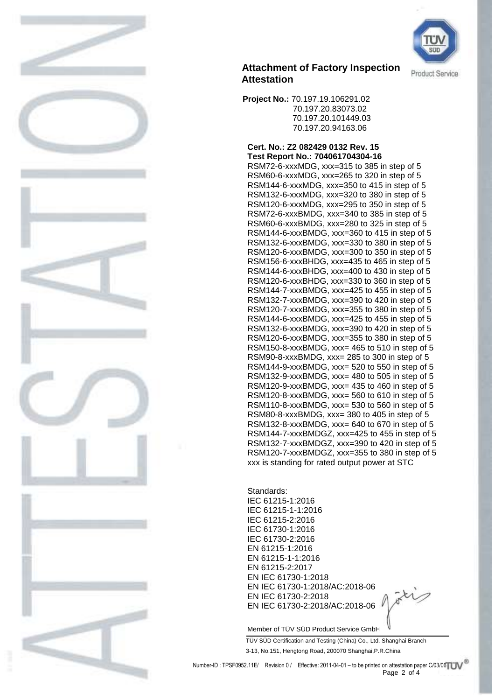

 **Project No.:** 70.197.19.106291.02 70.197.20.83073.02 70.197.20.101449.03 70.197.20.94163.06

#### **Cert. No.: Z2 082429 0132 Rev. 15 Test Report No.: 704061704304-16**

RSM72-6-xxxMDG, xxx=315 to 385 in step of 5 RSM60-6-xxxMDG, xxx=265 to 320 in step of 5 RSM144-6-xxxMDG, xxx=350 to 415 in step of 5 RSM132-6-xxxMDG, xxx=320 to 380 in step of 5 RSM120-6-xxxMDG, xxx=295 to 350 in step of 5 RSM72-6-xxxBMDG, xxx=340 to 385 in step of 5 RSM60-6-xxxBMDG, xxx=280 to 325 in step of 5 RSM144-6-xxxBMDG, xxx=360 to 415 in step of 5 RSM132-6-xxxBMDG, xxx=330 to 380 in step of 5 RSM120-6-xxxBMDG, xxx=300 to 350 in step of 5 RSM156-6-xxxBHDG, xxx=435 to 465 in step of 5 RSM144-6-xxxBHDG, xxx=400 to 430 in step of 5 RSM120-6-xxxBHDG, xxx=330 to 360 in step of 5 RSM144-7-xxxBMDG, xxx=425 to 455 in step of 5 RSM132-7-xxxBMDG, xxx=390 to 420 in step of 5 RSM120-7-xxxBMDG, xxx=355 to 380 in step of 5 RSM144-6-xxxBMDG, xxx=425 to 455 in step of 5 RSM132-6-xxxBMDG, xxx=390 to 420 in step of 5 RSM120-6-xxxBMDG, xxx=355 to 380 in step of 5 RSM150-8-xxxBMDG, xxx= 465 to 510 in step of 5 RSM90-8-xxxBMDG, xxx= 285 to 300 in step of 5 RSM144-9-xxxBMDG, xxx= 520 to 550 in step of 5 RSM132-9-xxxBMDG, xxx= 480 to 505 in step of 5 RSM120-9-xxxBMDG, xxx= 435 to 460 in step of 5 RSM120-8-xxxBMDG, xxx= 560 to 610 in step of 5 RSM110-8-xxxBMDG, xxx= 530 to 560 in step of 5 RSM80-8-xxxBMDG, xxx= 380 to 405 in step of 5 RSM132-8-xxxBMDG, xxx= 640 to 670 in step of 5 RSM144-7-xxxBMDGZ, xxx=425 to 455 in step of 5 RSM132-7-xxxBMDGZ, xxx=390 to 420 in step of 5 RSM120-7-xxxBMDGZ, xxx=355 to 380 in step of 5 xxx is standing for rated output power at STC

Standards: IEC 61215-1:2016 IEC 61215-1-1:2016 IEC 61215-2:2016 IEC 61730-1:2016 IEC 61730-2:2016 EN 61215-1:2016 EN 61215-1-1:2016 EN 61215-2:2017 EN IEC 61730-1:2018 EN IEC 61730-1:2018/AC:2018-06 EN IEC 61730-2:2018 EN IEC 61730-2:2018/AC:2018-06

Member of TÜV SÜD Product Service GmbH

TÜV SÜD Certification and Testing (China) Co., Ltd. Shanghai Branch 3-13, No.151, Hengtong Road, 200070 Shanghai,P.R.China



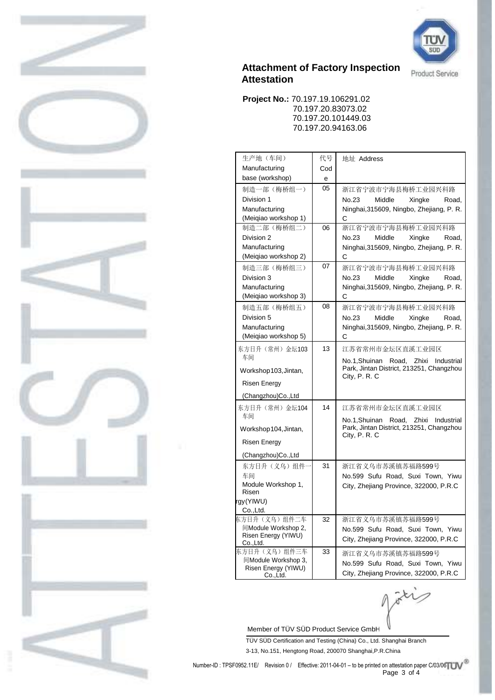

 **Project No.:** 70.197.19.106291.02 70.197.20.83073.02 70.197.20.101449.03 70.197.20.94163.06

| 生产地(车间)                               | 代号  | 地址 Address                                                                                         |  |  |  |
|---------------------------------------|-----|----------------------------------------------------------------------------------------------------|--|--|--|
| Manufacturing                         | Cod |                                                                                                    |  |  |  |
| base (workshop)                       | е   |                                                                                                    |  |  |  |
| 制造一部 (梅桥组一)                           | 05  | 浙江省宁波市宁海县梅桥工业园兴科路                                                                                  |  |  |  |
| Division 1                            |     | No.23<br>Middle<br>Xingke<br>Road,                                                                 |  |  |  |
| Manufacturing                         |     | Ninghai, 315609, Ningbo, Zhejiang, P. R.                                                           |  |  |  |
| (Meigiao workshop 1)                  |     | С                                                                                                  |  |  |  |
| 制造二部(梅桥组二)                            | 06  | 浙江省宁波市宁海县梅桥工业园兴科路                                                                                  |  |  |  |
| Division 2                            |     | No.23<br>Middle<br>Xingke<br>Road.                                                                 |  |  |  |
| Manufacturing                         |     | Ninghai, 315609, Ningbo, Zhejiang, P. R.                                                           |  |  |  |
| (Meiqiao workshop 2)                  |     | С                                                                                                  |  |  |  |
| 制造三部 (梅桥组三)                           | 07  | 浙江省宁波市宁海县梅桥工业园兴科路                                                                                  |  |  |  |
| Division 3                            |     | No.23<br>Middle<br>Xingke<br>Road,                                                                 |  |  |  |
| Manufacturing<br>(Meigiao workshop 3) |     | Ninghai, 315609, Ningbo, Zhejiang, P. R.                                                           |  |  |  |
|                                       | 08  | С                                                                                                  |  |  |  |
| 制造五部(梅桥组五)<br>Division 5              |     | 浙江省宁波市宁海县梅桥工业园兴科路<br>No.23<br>Middle                                                               |  |  |  |
| Manufacturing                         |     | Xingke<br>Road.<br>Ninghai, 315609, Ningbo, Zhejiang, P. R.                                        |  |  |  |
| (Meiqiao workshop 5)                  |     | С                                                                                                  |  |  |  |
| 东方日升 (常州) 金坛103                       | 13  | 江苏省常州市金坛区直溪工业园区                                                                                    |  |  |  |
| 车间                                    |     |                                                                                                    |  |  |  |
| Workshop103, Jintan,                  |     | No.1, Shuinan Road, Zhixi<br>Industrial<br>Park, Jintan District, 213251, Changzhou<br>City, P.R.C |  |  |  |
| <b>Risen Energy</b>                   |     |                                                                                                    |  |  |  |
| (Changzhou)Co., Ltd                   |     |                                                                                                    |  |  |  |
| 东方日升(常州)金坛104                         | 14  | 江苏省常州市金坛区直溪工业园区                                                                                    |  |  |  |
| 车间                                    |     |                                                                                                    |  |  |  |
| Workshop104, Jintan,                  |     | No.1, Shuinan Road, Zhixi<br>Industrial<br>Park, Jintan District, 213251, Changzhou                |  |  |  |
|                                       |     | City, P.R.C                                                                                        |  |  |  |
| Risen Energy                          |     |                                                                                                    |  |  |  |
| (Changzhou)Co., Ltd                   |     |                                                                                                    |  |  |  |
| 东方日升(义乌)组件·                           | 31  | 浙江省义乌市苏溪镇苏福路599号                                                                                   |  |  |  |
| 车间                                    |     | No.599 Sufu Road, Suxi Town, Yiwu                                                                  |  |  |  |
| Module Workshop 1,<br>Risen           |     | City, Zhejiang Province, 322000, P.R.C                                                             |  |  |  |
| gy (YIWU)                             |     |                                                                                                    |  |  |  |
| Co., Ltd.                             |     |                                                                                                    |  |  |  |
| 东方日升(义乌)组件二车                          | 32  | 浙江省义乌市苏溪镇苏福路599号                                                                                   |  |  |  |
| 间Module Workshop 2,                   |     | No.599 Sufu Road, Suxi Town, Yiwu                                                                  |  |  |  |
| Risen Energy (YIWU)<br>Co., Ltd.      |     | City, Zhejiang Province, 322000, P.R.C                                                             |  |  |  |
| 东方日升(义乌)组件三车                          | 33  | 浙江省义乌市苏溪镇苏福路599号                                                                                   |  |  |  |
| 间Module Workshop 3,                   |     | No.599 Sufu Road, Suxi Town, Yiwu                                                                  |  |  |  |
| Risen Energy (YIWU)<br>Co., Ltd.      |     | City, Zhejiang Province, 322000, P.R.C                                                             |  |  |  |
|                                       |     |                                                                                                    |  |  |  |

Member of TÜV SÜD Product Service GmbH

TÜV SÜD Certification and Testing (China) Co., Ltd. Shanghai Branch 3-13, No.151, Hengtong Road, 200070 Shanghai,P.R.China

 $\ddot{x}$